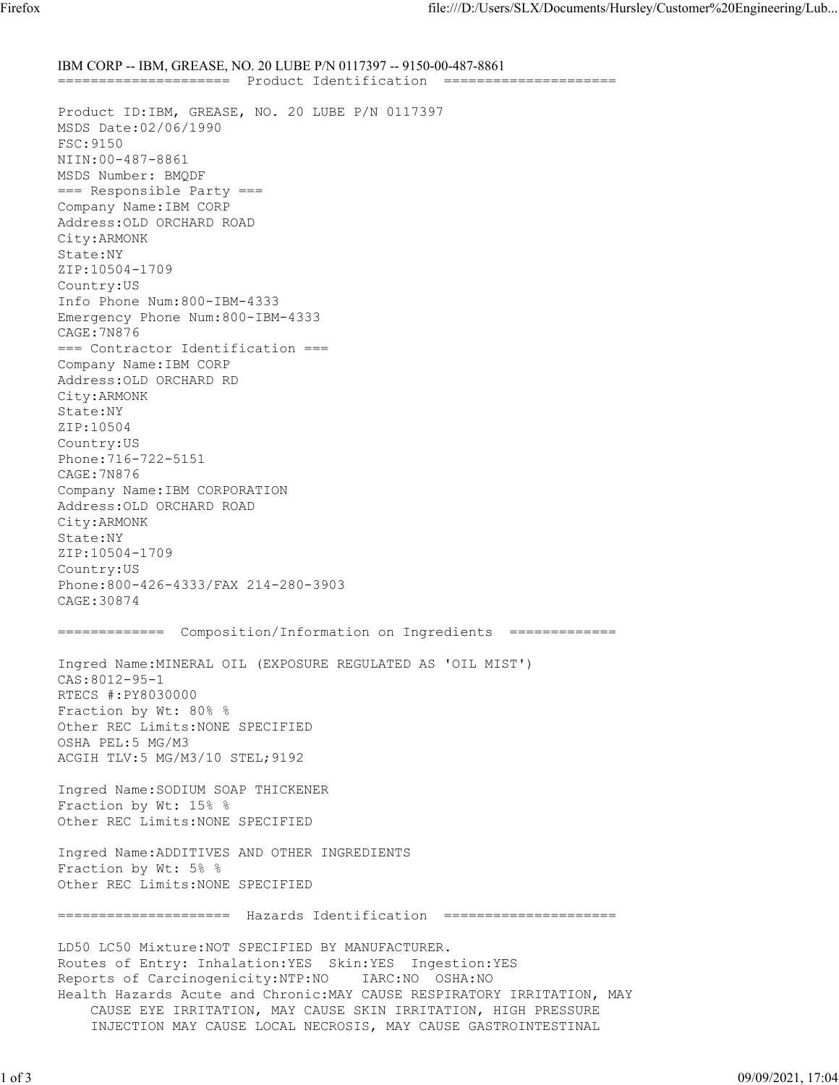IBM CORP -- IBM, GREASE, NO. 20 LUBE P/N 0117397 -- 9150-00-487-8861 ===================== Product Identification ===================== Product ID:IBM, GREASE, NO. 20 LUBE P/N 0117397 MSDS Date:02/06/1990 FSC:9150 NIIN:00-487-8861 MSDS Number: BMQDF === Responsible Party === Company Name:IBM CORP Address:OLD ORCHARD ROAD City:ARMONK State:NY ZIP:10504-1709 Country:US Info Phone Num:800-IBM-4333 Emergency Phone Num:800-IBM-4333 CAGE:7N876 === Contractor Identification === Company Name:IBM CORP Address:OLD ORCHARD RD City:ARMONK State:NY ZIP:10504 Country:US Phone:716-722-5151 CAGE:7N876 Company Name:IBM CORPORATION Address:OLD ORCHARD ROAD City:ARMONK State:NY ZIP:10504-1709 Country:US Phone:800-426-4333/FAX 214-280-3903 CAGE:30874 ============= Composition/Information on Ingredients ============= Ingred Name:MINERAL OIL (EXPOSURE REGULATED AS 'OIL MIST') CAS:8012-95-1 RTECS #:PY8030000 Fraction by Wt: 80% % Other REC Limits:NONE SPECIFIED OSHA PEL:5 MG/M3 ACGIH TLV:5 MG/M3/10 STEL;9192 Ingred Name:SODIUM SOAP THICKENER Fraction by Wt: 15% % Other REC Limits:NONE SPECIFIED Ingred Name:ADDITIVES AND OTHER INGREDIENTS Fraction by Wt: 5% % Other REC Limits:NONE SPECIFIED ===================== Hazards Identification ===================== LD50 LC50 Mixture:NOT SPECIFIED BY MANUFACTURER. Routes of Entry: Inhalation:YES Skin:YES Ingestion:YES Reports of Carcinogenicity:NTP:NO IARC:NO OSHA:NO Health Hazards Acute and Chronic:MAY CAUSE RESPIRATORY IRRITATION, MAY CAUSE EYE IRRITATION, MAY CAUSE SKIN IRRITATION, HIGH PRESSURE INJECTION MAY CAUSE LOCAL NECROSIS, MAY CAUSE GASTROINTESTINAL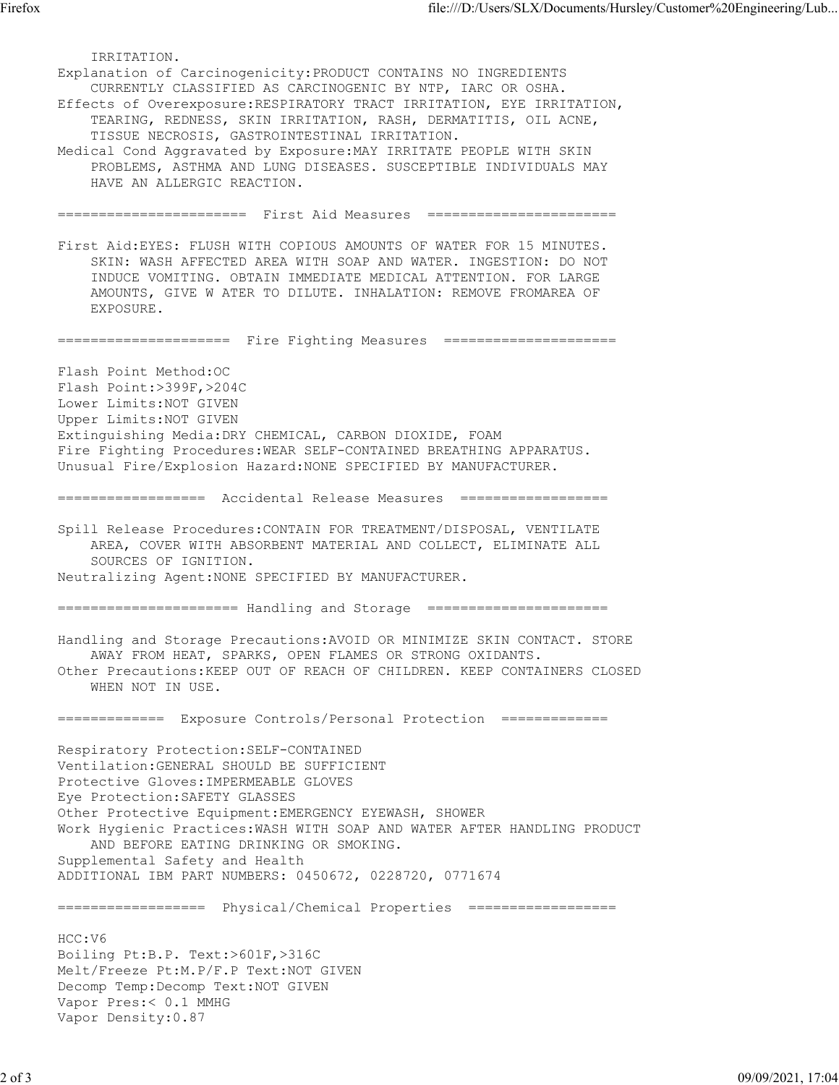IRRITATION. Explanation of Carcinogenicity:PRODUCT CONTAINS NO INGREDIENTS CURRENTLY CLASSIFIED AS CARCINOGENIC BY NTP, IARC OR OSHA. Effects of Overexposure:RESPIRATORY TRACT IRRITATION, EYE IRRITATION, TEARING, REDNESS, SKIN IRRITATION, RASH, DERMATITIS, OIL ACNE, TISSUE NECROSIS, GASTROINTESTINAL IRRITATION. Medical Cond Aggravated by Exposure:MAY IRRITATE PEOPLE WITH SKIN PROBLEMS, ASTHMA AND LUNG DISEASES. SUSCEPTIBLE INDIVIDUALS MAY HAVE AN ALLERGIC REACTION. ======================= First Aid Measures ======================= First Aid:EYES: FLUSH WITH COPIOUS AMOUNTS OF WATER FOR 15 MINUTES. SKIN: WASH AFFECTED AREA WITH SOAP AND WATER. INGESTION: DO NOT INDUCE VOMITING. OBTAIN IMMEDIATE MEDICAL ATTENTION. FOR LARGE AMOUNTS, GIVE W ATER TO DILUTE. INHALATION: REMOVE FROMAREA OF EXPOSURE. ===================== Fire Fighting Measures ===================== Flash Point Method:OC Flash Point:>399F,>204C Lower Limits:NOT GIVEN Upper Limits:NOT GIVEN Extinguishing Media:DRY CHEMICAL, CARBON DIOXIDE, FOAM Fire Fighting Procedures:WEAR SELF-CONTAINED BREATHING APPARATUS. Unusual Fire/Explosion Hazard:NONE SPECIFIED BY MANUFACTURER. ================== Accidental Release Measures ================== Spill Release Procedures:CONTAIN FOR TREATMENT/DISPOSAL, VENTILATE AREA, COVER WITH ABSORBENT MATERIAL AND COLLECT, ELIMINATE ALL SOURCES OF IGNITION. Neutralizing Agent:NONE SPECIFIED BY MANUFACTURER. ====================== Handling and Storage ====================== Handling and Storage Precautions:AVOID OR MINIMIZE SKIN CONTACT. STORE AWAY FROM HEAT, SPARKS, OPEN FLAMES OR STRONG OXIDANTS. Other Precautions:KEEP OUT OF REACH OF CHILDREN. KEEP CONTAINERS CLOSED WHEN NOT IN USE. ============= Exposure Controls/Personal Protection ============= Respiratory Protection:SELF-CONTAINED Ventilation:GENERAL SHOULD BE SUFFICIENT Protective Gloves:IMPERMEABLE GLOVES Eye Protection:SAFETY GLASSES Other Protective Equipment:EMERGENCY EYEWASH, SHOWER Work Hygienic Practices:WASH WITH SOAP AND WATER AFTER HANDLING PRODUCT AND BEFORE EATING DRINKING OR SMOKING. Supplemental Safety and Health ADDITIONAL IBM PART NUMBERS: 0450672, 0228720, 0771674 ================== Physical/Chemical Properties ================== HCC:V6 Boiling Pt:B.P. Text:>601F,>316C Melt/Freeze Pt:M.P/F.P Text:NOT GIVEN Decomp Temp:Decomp Text:NOT GIVEN Vapor Pres:< 0.1 MMHG Vapor Density:0.87